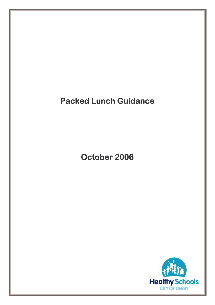# **Packed Lunch Guidance**

October 2006

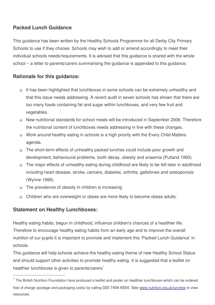## **Packed Lunch Guidance**

This guidance has been written by the Healthy Schools Programme for all Derby City Primary Schools to use if they choose. Schools may wish to add or amend accordingly to meet their individual schools needs/requirements. It is advised that this guidance is shared with the whole school – a letter to parents/carers summarising the guidance is appended to this guidance.

## **Rationale for this guidance:**

- It has been highlighted that lunchboxes in some schools can be extremely unhealthy and that this issue needs addressing. A recent audit in seven schools has shown that there are too many foods containing fat and sugar within lunchboxes, and very few fruit and vegetables.
- New nutritional standards for school meals will be introduced in September 2006. Therefore the nutritional content of lunchboxes needs addressing in line with these changes.
- Work around healthy eating in schools is a high priority with the Every Child Matters agenda.
- The short-term effects of unhealthy packed lunches could include poor growth and development, behavioural problems, tooth decay, obesity and anaemia (Putland 1993).
- The major effects of unhealthy eating during childhood are likely to be felt later in adulthood including heart disease, stroke, cancers, diabetes, arthritis, gallstones and osteoporosis (Wynne 1999).
- $\Box$  The prevalence of obesity in children is increasing
- Children who are overweight or obese are more likely to become obese adults.

## **Statement on Healthy Lunchboxes:**

Healthy eating habits, begun in childhood, influence children's chances of a healthier life. Therefore to encourage healthy eating habits from an early age and to improve the overall nutrition of our pupils it is important to promote and implement this 'Packed Lunch Guidance' in schools.

This guidance will help schools achieve the healthy eating theme of new Healthy School Status and should support other activities to promote healthy eating. It is suggested that a leaflet on healthier lunchboxes is given to parents/carers<sup>\*</sup>

<sup>∗</sup> The British Nutrition Foundation have produced a leaflet and poster on healthier lunchboxes which can be ordered free of charge (postage and packaging costs) by calling 020 7404 6504. See www.nutrition.org.uk/lunches to view resources.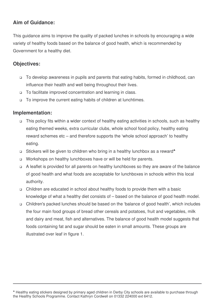## **Aim of Guidance:**

This guidance aims to improve the quality of packed lunches in schools by encouraging a wide variety of healthy foods based on the balance of good health, which is recommended by Government for a healthy diet.

### **Objectives:**

- To develop awareness in pupils and parents that eating habits, formed in childhood, can influence their health and well being throughout their lives.
- □ To facilitate improved concentration and learning in class.
- □ To improve the current eating habits of children at lunchtimes.

#### **Implementation:**

- This policy fits within a wider context of healthy eating activities in schools, such as healthy eating themed weeks, extra curricular clubs, whole school food policy, healthy eating reward schemes etc – and therefore supports the 'whole school approach' to healthy eating.
- □ Stickers will be given to children who bring in a healthy lunchbox as a reward\*
- □ Workshops on healthy lunchboxes have or will be held for parents.
- $\Box$  A leaflet is provided for all parents on healthy lunchboxes so they are aware of the balance of good health and what foods are acceptable for lunchboxes in schools within this local authority.
- Children are educated in school about healthy foods to provide them with a basic knowledge of what a healthy diet consists of – based on the balance of good health model.
- Children's packed lunches should be based on the 'balance of good health', which includes the four main food groups of bread other cereals and potatoes, fruit and vegetables, milk and dairy and meat, fish and alternatives. The balance of good health model suggests that foods containing fat and sugar should be eaten in small amounts. These groups are illustrated over leaf in figure 1.

<sup>♣</sup> Healthy eating stickers designed by primary aged children in Derby City schools are available to purchase through the Healthy Schools Programme. Contact Kathryn Cordwell on 01332 224000 ext 6412.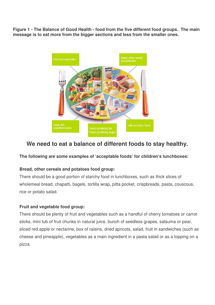**Figure 1 - The Balance of Good Health - food from the five different food groups. The main message is to eat more from the bigger sections and less from the smaller ones.**



## **We need to eat a balance of different foods to stay healthy.**

#### **The following are some examples of 'acceptable foods' for children's lunchboxes:**

#### **Bread, other cereals and potatoes food group:**

There should be a good portion of starchy food in lunchboxes, such as thick slices of wholemeal bread, chapatti, bagels, tortilla wrap, pitta pocket, crispbreads, pasta, couscous, rice or potato salad.

#### **Fruit and vegetable food group:**

There should be plenty of fruit and vegetables such as a handful of cherry tomatoes or carrot sticks, mini tub of fruit chunks in natural juice, bunch of seedless grapes, satsuma or pear, sliced red apple or nectarine, box of raisins, dried apricots, salad, fruit in sandwiches (such as cheese and pineapple), vegetables as a main ingredient in a pasta salad or as a topping on a pizza.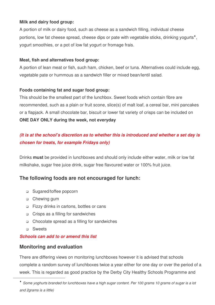#### **Milk and dairy food group:**

A portion of milk or dairy food, such as cheese as a sandwich filling, individual cheese portions, low fat cheese spread, cheese dips or pate with vegetable sticks, drinking yogurts<sup>\*</sup>, yogurt smoothies, or a pot of low fat yogurt or fromage frais.

#### **Meat, fish and alternatives food group:**

A portion of lean meat or fish, such ham, chicken, beef or tuna. Alternatives could include egg, vegetable pate or hummous as a sandwich filler or mixed bean/lentil salad.

#### **Foods containing fat and sugar food group:**

This should be the smallest part of the lunchbox. Sweet foods which contain fibre are recommended, such as a plain or fruit scone, slice(s) of malt loaf, a cereal bar, mini pancakes or a flapjack. A small chocolate bar, biscuit or lower fat variety of crisps can be included on **ONE DAY ONLY during the week, not everyday**

## *(It is at the school's discretion as to whether this is introduced and whether a set day is chosen for treats, for example Fridays only)*

Drinks **must** be provided in lunchboxes and should only include either water, milk or low fat milkshake, sugar free juice drink, sugar free flavoured water or 100% fruit juice.

#### **The following foods are not encouraged for lunch:**

- □ Sugared/toffee popcorn
- □ Chewing gum
- Fizzy drinks in cartons, bottles or cans
- □ Crisps as a filling for sandwiches
- Chocolate spread as a filling for sandwiches
- **D** Sweets

#### *Schools can add to or amend this list*

#### **Monitoring and evaluation**

There are differing views on monitoring lunchboxes however it is advised that schools complete a random survey of lunchboxes twice a year either for one day or over the period of a week. This is regarded as good practice by the Derby City Healthy Schools Programme and

<sup>\*</sup> Some yoghurts branded for lunchboxes have a high sugar content. Per 100 grams 10 grams of sugar is a lot *and 2grams is a little)*